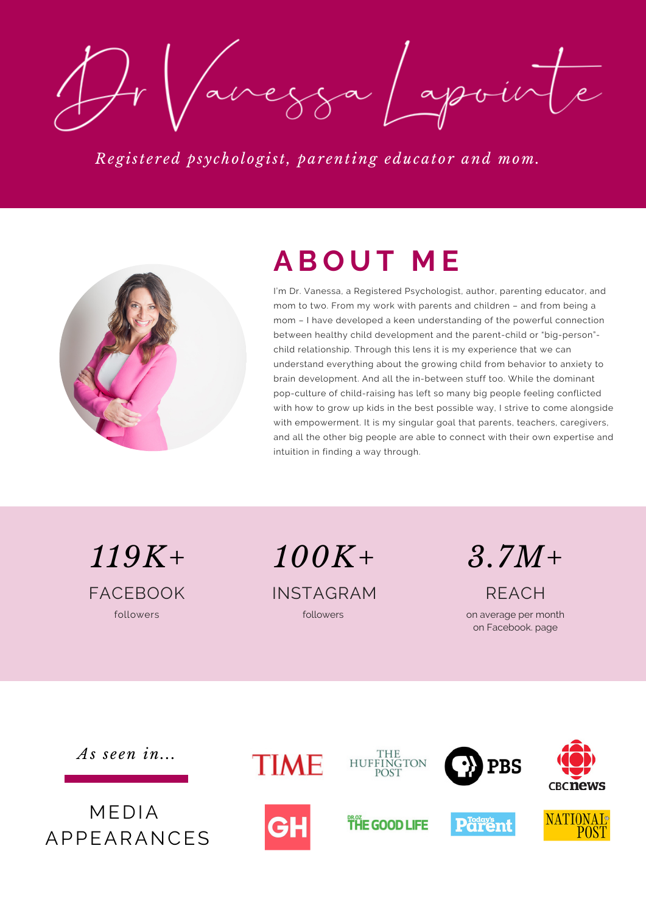Javezza /apointe

*Regist e r ed [psychologist,](http://www.drvanessalapointe.com/) par enting educator and mom.*



# **A B O U T M E**

I'm Dr. Vanessa, a Registered Psychologist, author, parenting educator, and mom to two. From my work with parents and children – and from being a mom – I have developed a keen understanding of the powerful connection between healthy child development and the parent-child or "big-person" child relationship. Through this lens it is my experience that we can understand everything about the growing child from behavior to anxiety to brain development. And all the in-between stuff too. While the dominant pop-culture of child-raising has left so many big people feeling conflicted with how to grow up kids in the best possible way, I strive to come alongside with empowerment. It is my singular goal that parents, teachers, caregivers, and all the other big people are able to connect with their own expertise and intuition in finding a way through.

*119K+*

*100K+ 3.7M+*

FACEBOOK INSTAGRAM REACH followers followers

on average per month on Facebook. page

*As s e en in...*

MEDIA APPEARANCES



**TIME** 

**THE GOOD LIFE** 

**HUFFINGTON** 



**PBS**